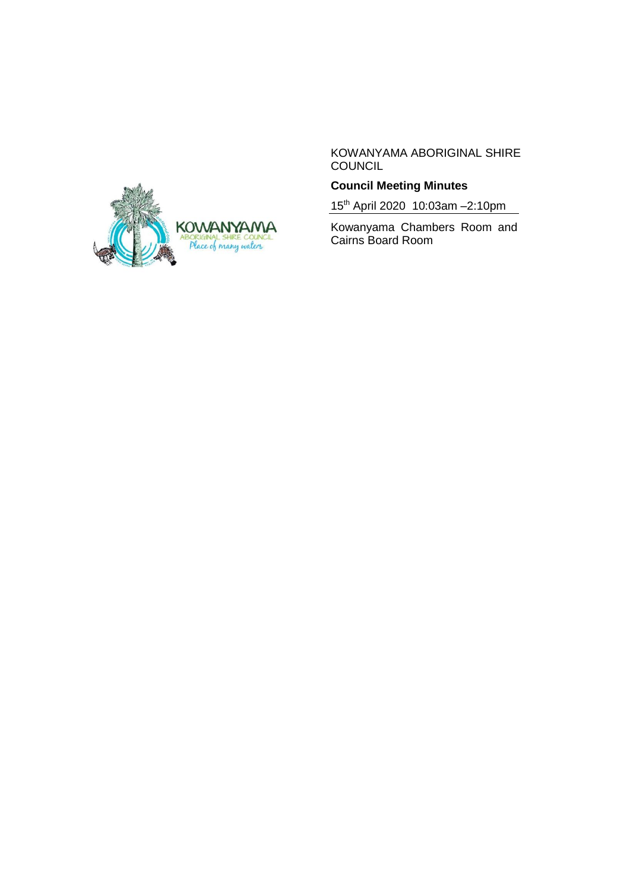

KOWANYAMA ABORIGINAL SHIRE COUNCIL

## **Council Meeting Minutes**

15th April 2020 10:03am –2:10pm

Kowanyama Chambers Room and Cairns Board Room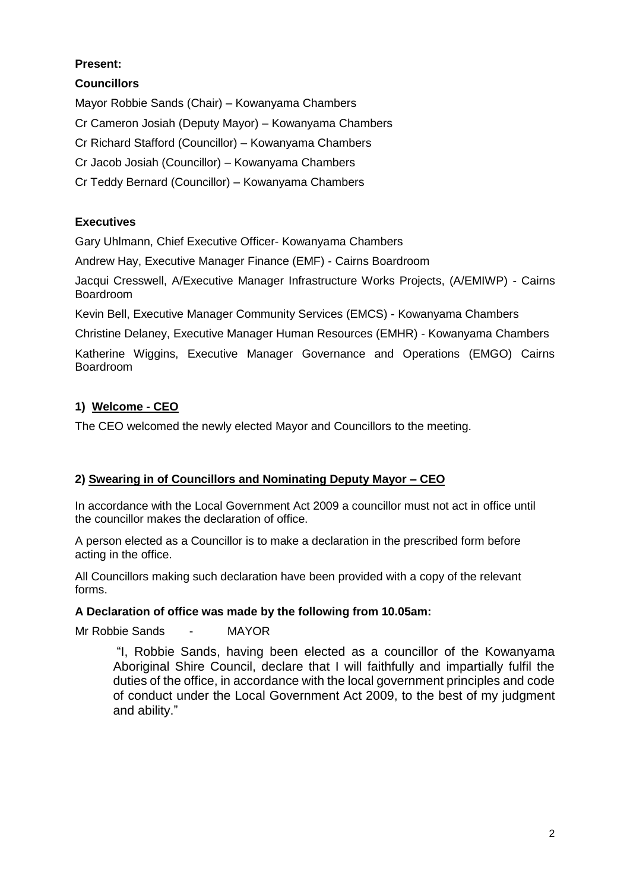## **Present:**

**Councillors**

Mayor Robbie Sands (Chair) – Kowanyama Chambers

Cr Cameron Josiah (Deputy Mayor) – Kowanyama Chambers

Cr Richard Stafford (Councillor) – Kowanyama Chambers

Cr Jacob Josiah (Councillor) – Kowanyama Chambers

Cr Teddy Bernard (Councillor) – Kowanyama Chambers

## **Executives**

Gary Uhlmann, Chief Executive Officer- Kowanyama Chambers

Andrew Hay, Executive Manager Finance (EMF) - Cairns Boardroom

Jacqui Cresswell, A/Executive Manager Infrastructure Works Projects, (A/EMIWP) - Cairns Boardroom

Kevin Bell, Executive Manager Community Services (EMCS) - Kowanyama Chambers

Christine Delaney, Executive Manager Human Resources (EMHR) - Kowanyama Chambers

Katherine Wiggins, Executive Manager Governance and Operations (EMGO) Cairns Boardroom

# **1) Welcome - CEO**

The CEO welcomed the newly elected Mayor and Councillors to the meeting.

## **2) Swearing in of Councillors and Nominating Deputy Mayor – CEO**

In accordance with the Local Government Act 2009 a councillor must not act in office until the councillor makes the declaration of office.

A person elected as a Councillor is to make a declaration in the prescribed form before acting in the office.

All Councillors making such declaration have been provided with a copy of the relevant forms.

## **A Declaration of office was made by the following from 10.05am:**

Mr Robbie Sands - MAYOR

"I, Robbie Sands, having been elected as a councillor of the Kowanyama Aboriginal Shire Council, declare that I will faithfully and impartially fulfil the duties of the office, in accordance with the local government principles and code of conduct under the Local Government Act 2009, to the best of my judgment and ability."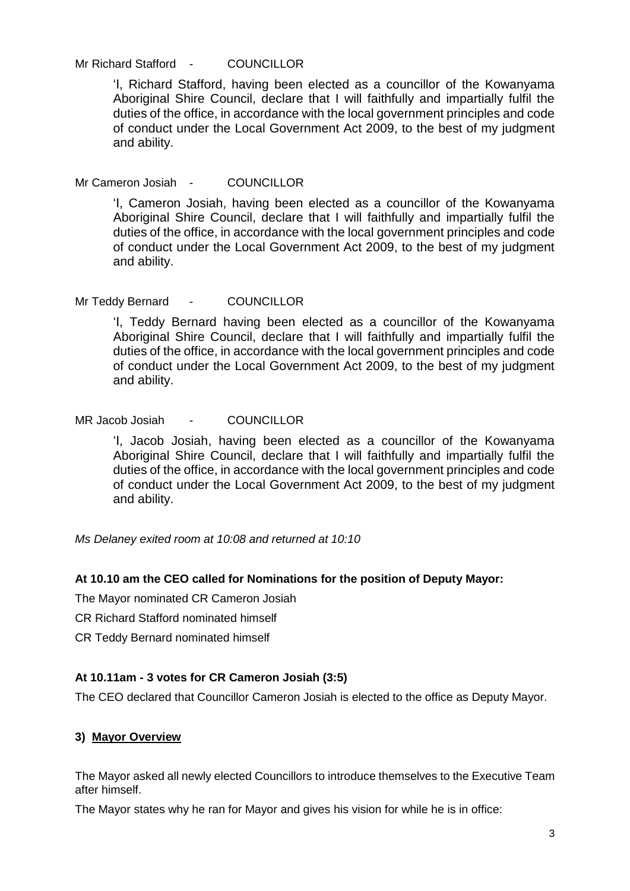Mr Richard Stafford - COUNCILLOR

'I, Richard Stafford, having been elected as a councillor of the Kowanyama Aboriginal Shire Council, declare that I will faithfully and impartially fulfil the duties of the office, in accordance with the local government principles and code of conduct under the Local Government Act 2009, to the best of my judgment and ability.

Mr Cameron Josiah - COUNCILLOR

'I, Cameron Josiah, having been elected as a councillor of the Kowanyama Aboriginal Shire Council, declare that I will faithfully and impartially fulfil the duties of the office, in accordance with the local government principles and code of conduct under the Local Government Act 2009, to the best of my judgment and ability.

Mr Teddy Bernard - COUNCILLOR

'I, Teddy Bernard having been elected as a councillor of the Kowanyama Aboriginal Shire Council, declare that I will faithfully and impartially fulfil the duties of the office, in accordance with the local government principles and code of conduct under the Local Government Act 2009, to the best of my judgment and ability.

MR Jacob Josiah - COUNCILLOR

'I, Jacob Josiah, having been elected as a councillor of the Kowanyama Aboriginal Shire Council, declare that I will faithfully and impartially fulfil the duties of the office, in accordance with the local government principles and code of conduct under the Local Government Act 2009, to the best of my judgment and ability.

*Ms Delaney exited room at 10:08 and returned at 10:10*

### **At 10.10 am the CEO called for Nominations for the position of Deputy Mayor:**

The Mayor nominated CR Cameron Josiah

CR Richard Stafford nominated himself

CR Teddy Bernard nominated himself

#### **At 10.11am - 3 votes for CR Cameron Josiah (3:5)**

The CEO declared that Councillor Cameron Josiah is elected to the office as Deputy Mayor.

#### **3) Mayor Overview**

The Mayor asked all newly elected Councillors to introduce themselves to the Executive Team after himself.

The Mayor states why he ran for Mayor and gives his vision for while he is in office: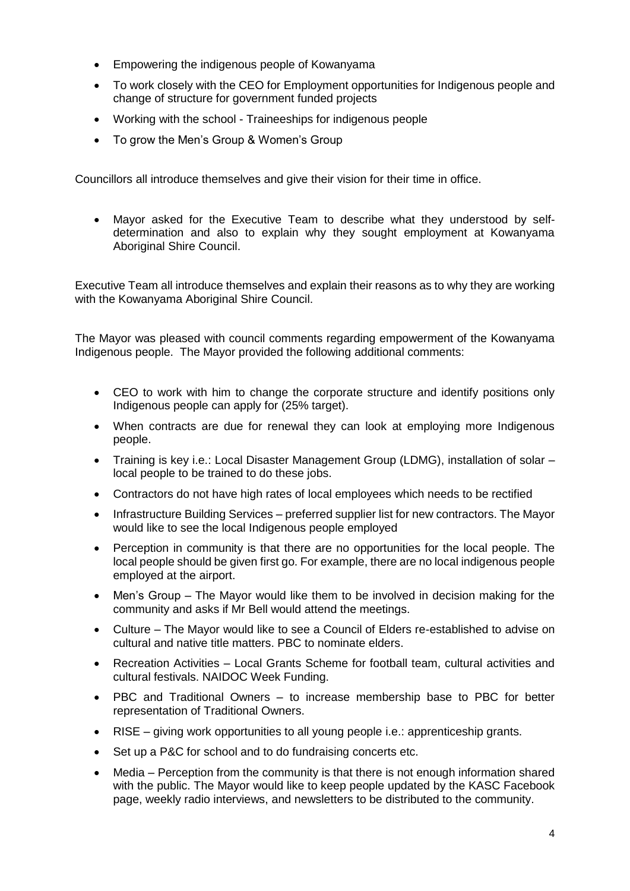- Empowering the indigenous people of Kowanyama
- To work closely with the CEO for Employment opportunities for Indigenous people and change of structure for government funded projects
- Working with the school Traineeships for indigenous people
- To grow the Men's Group & Women's Group

Councillors all introduce themselves and give their vision for their time in office.

• Mayor asked for the Executive Team to describe what they understood by selfdetermination and also to explain why they sought employment at Kowanyama Aboriginal Shire Council.

Executive Team all introduce themselves and explain their reasons as to why they are working with the Kowanyama Aboriginal Shire Council.

The Mayor was pleased with council comments regarding empowerment of the Kowanyama Indigenous people. The Mayor provided the following additional comments:

- CEO to work with him to change the corporate structure and identify positions only Indigenous people can apply for (25% target).
- When contracts are due for renewal they can look at employing more Indigenous people.
- Training is key i.e.: Local Disaster Management Group (LDMG), installation of solar local people to be trained to do these jobs.
- Contractors do not have high rates of local employees which needs to be rectified
- Infrastructure Building Services preferred supplier list for new contractors. The Mayor would like to see the local Indigenous people employed
- Perception in community is that there are no opportunities for the local people. The local people should be given first go. For example, there are no local indigenous people employed at the airport.
- Men's Group The Mayor would like them to be involved in decision making for the community and asks if Mr Bell would attend the meetings.
- Culture The Mayor would like to see a Council of Elders re-established to advise on cultural and native title matters. PBC to nominate elders.
- Recreation Activities Local Grants Scheme for football team, cultural activities and cultural festivals. NAIDOC Week Funding.
- PBC and Traditional Owners to increase membership base to PBC for better representation of Traditional Owners.
- RISE giving work opportunities to all young people i.e.: apprenticeship grants.
- Set up a P&C for school and to do fundraising concerts etc.
- Media Perception from the community is that there is not enough information shared with the public. The Mayor would like to keep people updated by the KASC Facebook page, weekly radio interviews, and newsletters to be distributed to the community.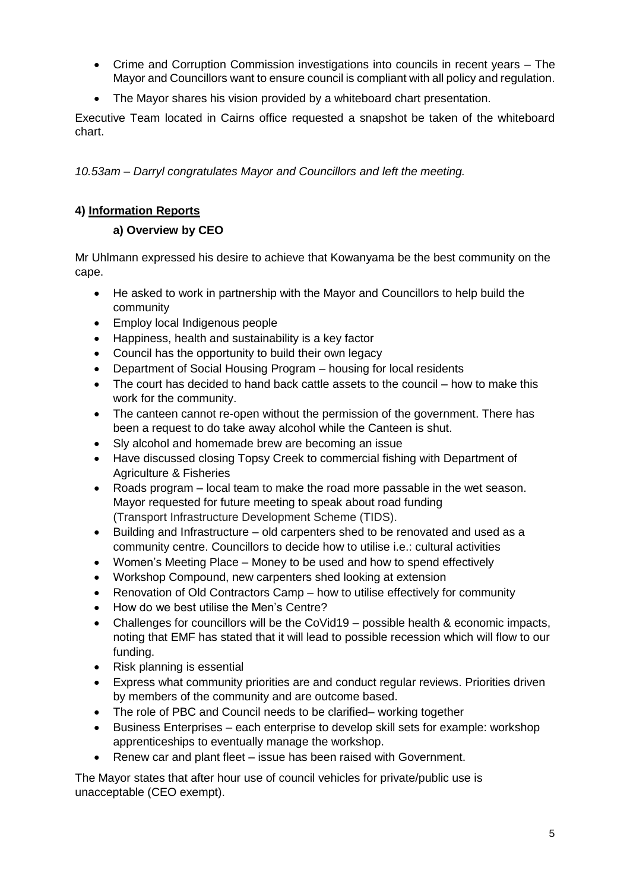- Crime and Corruption Commission investigations into councils in recent years The Mayor and Councillors want to ensure council is compliant with all policy and regulation.
- The Mayor shares his vision provided by a whiteboard chart presentation.

Executive Team located in Cairns office requested a snapshot be taken of the whiteboard chart.

*10.53am – Darryl congratulates Mayor and Councillors and left the meeting.*

### **4) Information Reports**

### **a) Overview by CEO**

Mr Uhlmann expressed his desire to achieve that Kowanyama be the best community on the cape.

- He asked to work in partnership with the Mayor and Councillors to help build the community
- Employ local Indigenous people
- Happiness, health and sustainability is a key factor
- Council has the opportunity to build their own legacy
- Department of Social Housing Program housing for local residents
- The court has decided to hand back cattle assets to the council how to make this work for the community.
- The canteen cannot re-open without the permission of the government. There has been a request to do take away alcohol while the Canteen is shut.
- Sly alcohol and homemade brew are becoming an issue
- Have discussed closing Topsy Creek to commercial fishing with Department of Agriculture & Fisheries
- Roads program local team to make the road more passable in the wet season. Mayor requested for future meeting to speak about road funding (Transport Infrastructure Development Scheme (TIDS).
- Building and Infrastructure old carpenters shed to be renovated and used as a community centre. Councillors to decide how to utilise i.e.: cultural activities
- Women's Meeting Place Money to be used and how to spend effectively
- Workshop Compound, new carpenters shed looking at extension
- Renovation of Old Contractors Camp how to utilise effectively for community
- How do we best utilise the Men's Centre?
- Challenges for councillors will be the CoVid19 possible health & economic impacts, noting that EMF has stated that it will lead to possible recession which will flow to our funding.
- Risk planning is essential
- Express what community priorities are and conduct regular reviews. Priorities driven by members of the community and are outcome based.
- The role of PBC and Council needs to be clarified– working together
- Business Enterprises each enterprise to develop skill sets for example: workshop apprenticeships to eventually manage the workshop.
- Renew car and plant fleet issue has been raised with Government.

The Mayor states that after hour use of council vehicles for private/public use is unacceptable (CEO exempt).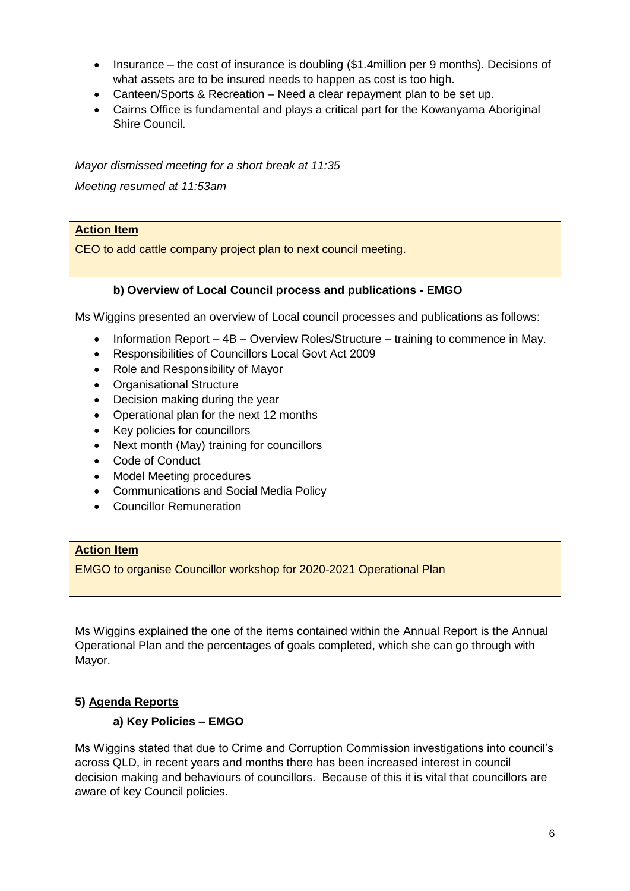- Insurance the cost of insurance is doubling (\$1.4million per 9 months). Decisions of what assets are to be insured needs to happen as cost is too high.
- Canteen/Sports & Recreation Need a clear repayment plan to be set up.
- Cairns Office is fundamental and plays a critical part for the Kowanyama Aboriginal Shire Council.

*Mayor dismissed meeting for a short break at 11:35 Meeting resumed at 11:53am*

## **Action Item**

CEO to add cattle company project plan to next council meeting.

### **b) Overview of Local Council process and publications - EMGO**

Ms Wiggins presented an overview of Local council processes and publications as follows:

- Information Report 4B Overview Roles/Structure training to commence in May.
- Responsibilities of Councillors Local Govt Act 2009
- Role and Responsibility of Mayor
- Organisational Structure
- Decision making during the year
- Operational plan for the next 12 months
- Key policies for councillors
- Next month (May) training for councillors
- Code of Conduct
- Model Meeting procedures
- Communications and Social Media Policy
- Councillor Remuneration

### **Action Item**

EMGO to organise Councillor workshop for 2020-2021 Operational Plan

Ms Wiggins explained the one of the items contained within the Annual Report is the Annual Operational Plan and the percentages of goals completed, which she can go through with Mayor.

### **5) Agenda Reports**

### **a) Key Policies – EMGO**

Ms Wiggins stated that due to Crime and Corruption Commission investigations into council's across QLD, in recent years and months there has been increased interest in council decision making and behaviours of councillors. Because of this it is vital that councillors are aware of key Council policies.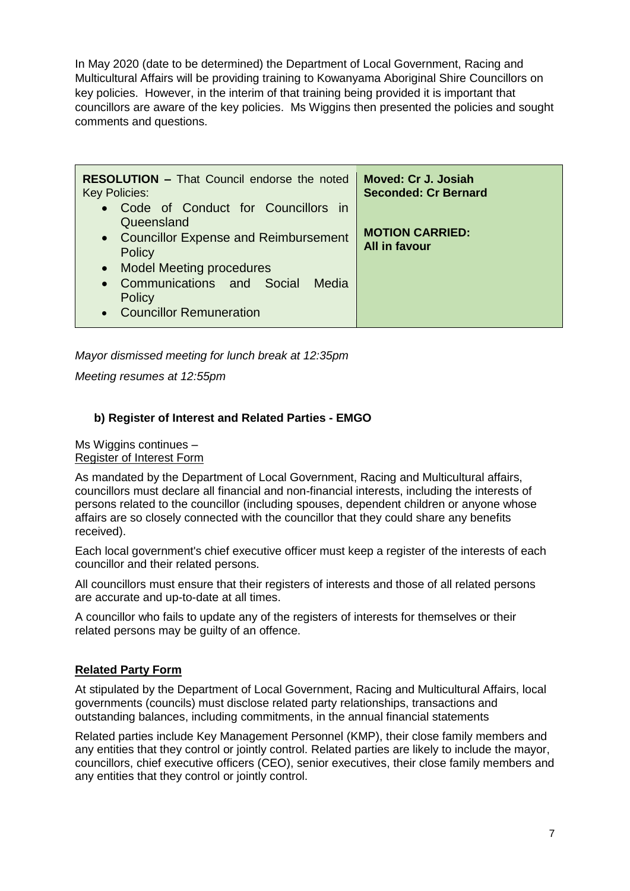In May 2020 (date to be determined) the Department of Local Government, Racing and Multicultural Affairs will be providing training to Kowanyama Aboriginal Shire Councillors on key policies. However, in the interim of that training being provided it is important that councillors are aware of the key policies. Ms Wiggins then presented the policies and sought comments and questions.

| <b>RESOLUTION - That Council endorse the noted</b>                                                                                                                                                                  | Moved: Cr J. Josiah                            |
|---------------------------------------------------------------------------------------------------------------------------------------------------------------------------------------------------------------------|------------------------------------------------|
| <b>Key Policies:</b>                                                                                                                                                                                                | <b>Seconded: Cr Bernard</b>                    |
| • Code of Conduct for Councillors in<br>Queensland<br>• Councillor Expense and Reimbursement<br>Policy<br>• Model Meeting procedures<br>• Communications and Social<br>Media<br>Policy<br>• Councillor Remuneration | <b>MOTION CARRIED:</b><br><b>All in favour</b> |

*Mayor dismissed meeting for lunch break at 12:35pm*

*Meeting resumes at 12:55pm*

### **b) Register of Interest and Related Parties - EMGO**

Ms Wiggins continues – Register of Interest Form

As mandated by the Department of Local Government, Racing and Multicultural affairs, councillors must declare all financial and non-financial interests, including the interests of persons related to the councillor (including spouses, dependent children or anyone whose affairs are so closely connected with the councillor that they could share any benefits received).

Each local government's chief executive officer must keep a register of the interests of each councillor and their related persons.

All councillors must ensure that their registers of interests and those of all related persons are accurate and up-to-date at all times.

A councillor who fails to update any of the registers of interests for themselves or their related persons may be guilty of an offence.

#### **Related Party Form**

At stipulated by the Department of Local Government, Racing and Multicultural Affairs, local governments (councils) must disclose related party relationships, transactions and outstanding balances, including commitments, in the annual financial statements

Related parties include Key Management Personnel (KMP), their close family members and any entities that they control or jointly control. Related parties are likely to include the mayor, councillors, chief executive officers (CEO), senior executives, their close family members and any entities that they control or jointly control.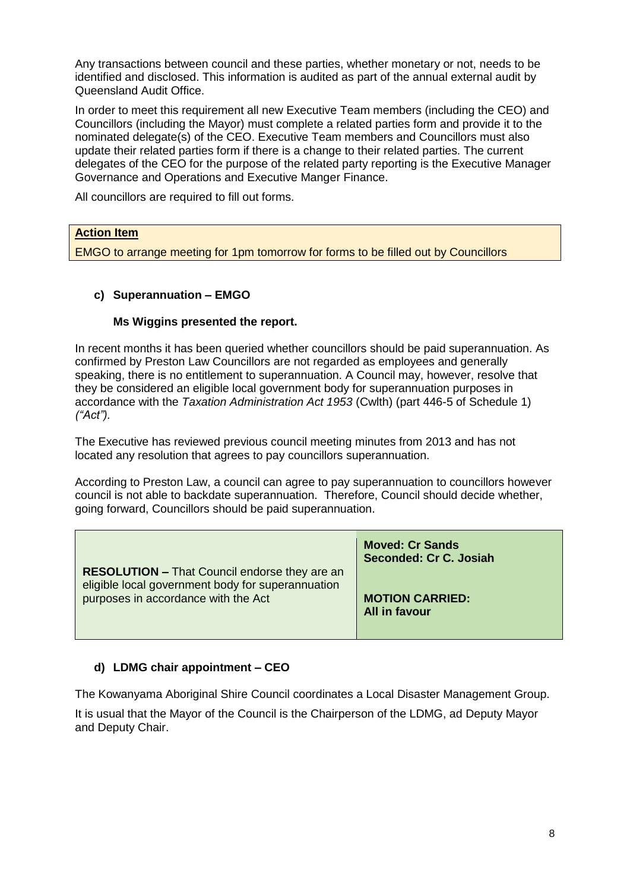Any transactions between council and these parties, whether monetary or not, needs to be identified and disclosed. This information is audited as part of the annual external audit by Queensland Audit Office.

In order to meet this requirement all new Executive Team members (including the CEO) and Councillors (including the Mayor) must complete a related parties form and provide it to the nominated delegate(s) of the CEO. Executive Team members and Councillors must also update their related parties form if there is a change to their related parties. The current delegates of the CEO for the purpose of the related party reporting is the Executive Manager Governance and Operations and Executive Manger Finance.

All councillors are required to fill out forms.

### **Action Item**

EMGO to arrange meeting for 1pm tomorrow for forms to be filled out by Councillors

### **c) Superannuation – EMGO**

#### **Ms Wiggins presented the report.**

In recent months it has been queried whether councillors should be paid superannuation. As confirmed by Preston Law Councillors are not regarded as employees and generally speaking, there is no entitlement to superannuation. A Council may, however, resolve that they be considered an eligible local government body for superannuation purposes in accordance with the *Taxation Administration Act 1953* (Cwlth) (part 446-5 of Schedule 1) *("Act").*

The Executive has reviewed previous council meeting minutes from 2013 and has not located any resolution that agrees to pay councillors superannuation.

According to Preston Law, a council can agree to pay superannuation to councillors however council is not able to backdate superannuation. Therefore, Council should decide whether, going forward, Councillors should be paid superannuation.

|                                                                                                                                                  | <b>Moved: Cr Sands</b><br>Seconded: Cr C. Josiah |
|--------------------------------------------------------------------------------------------------------------------------------------------------|--------------------------------------------------|
| <b>RESOLUTION - That Council endorse they are an</b><br>eligible local government body for superannuation<br>purposes in accordance with the Act | <b>MOTION CARRIED:</b><br>All in favour          |

### **d) LDMG chair appointment – CEO**

The Kowanyama Aboriginal Shire Council coordinates a Local Disaster Management Group.

It is usual that the Mayor of the Council is the Chairperson of the LDMG, ad Deputy Mayor and Deputy Chair.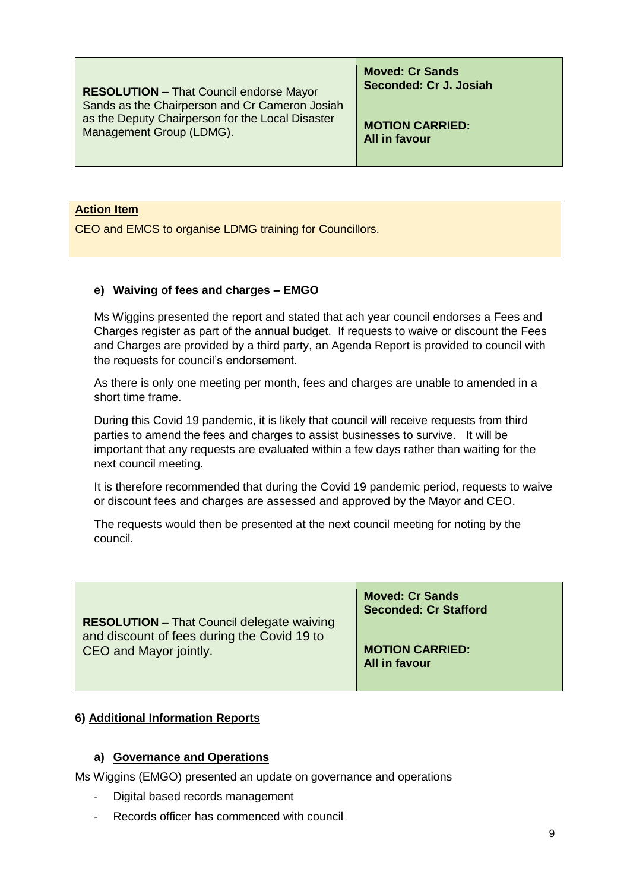**RESOLUTION –** That Council endorse Mayor Sands as the Chairperson and Cr Cameron Josiah as the Deputy Chairperson for the Local Disaster Management Group (LDMG).

**Moved: Cr Sands Seconded: Cr J. Josiah**

**MOTION CARRIED: All in favour** 

#### **Action Item**

CEO and EMCS to organise LDMG training for Councillors.

#### **e) Waiving of fees and charges – EMGO**

Ms Wiggins presented the report and stated that ach year council endorses a Fees and Charges register as part of the annual budget. If requests to waive or discount the Fees and Charges are provided by a third party, an Agenda Report is provided to council with the requests for council's endorsement.

As there is only one meeting per month, fees and charges are unable to amended in a short time frame.

During this Covid 19 pandemic, it is likely that council will receive requests from third parties to amend the fees and charges to assist businesses to survive. It will be important that any requests are evaluated within a few days rather than waiting for the next council meeting.

It is therefore recommended that during the Covid 19 pandemic period, requests to waive or discount fees and charges are assessed and approved by the Mayor and CEO.

The requests would then be presented at the next council meeting for noting by the council.

| <b>RESOLUTION - That Council delegate waiving</b><br>and discount of fees during the Covid 19 to<br>CEO and Mayor jointly. | <b>Moved: Cr Sands</b><br><b>Seconded: Cr Stafford</b> |
|----------------------------------------------------------------------------------------------------------------------------|--------------------------------------------------------|
|                                                                                                                            | <b>MOTION CARRIED:</b><br>All in favour                |

#### **6) Additional Information Reports**

#### **a) Governance and Operations**

Ms Wiggins (EMGO) presented an update on governance and operations

- Digital based records management
- Records officer has commenced with council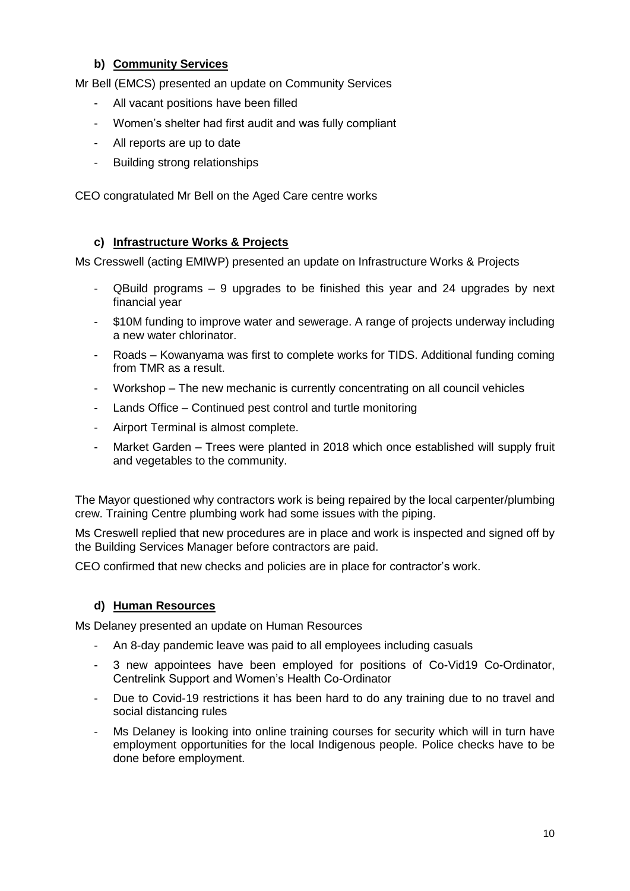### **b) Community Services**

Mr Bell (EMCS) presented an update on Community Services

- All vacant positions have been filled
- Women's shelter had first audit and was fully compliant
- All reports are up to date
- Building strong relationships

CEO congratulated Mr Bell on the Aged Care centre works

### **c) Infrastructure Works & Projects**

Ms Cresswell (acting EMIWP) presented an update on Infrastructure Works & Projects

- $Q$ Build programs 9 upgrades to be finished this year and 24 upgrades by next financial year
- \$10M funding to improve water and sewerage. A range of projects underway including a new water chlorinator.
- Roads Kowanyama was first to complete works for TIDS. Additional funding coming from TMR as a result.
- Workshop The new mechanic is currently concentrating on all council vehicles
- Lands Office Continued pest control and turtle monitoring
- Airport Terminal is almost complete.
- Market Garden Trees were planted in 2018 which once established will supply fruit and vegetables to the community.

The Mayor questioned why contractors work is being repaired by the local carpenter/plumbing crew. Training Centre plumbing work had some issues with the piping.

Ms Creswell replied that new procedures are in place and work is inspected and signed off by the Building Services Manager before contractors are paid.

CEO confirmed that new checks and policies are in place for contractor's work.

### **d) Human Resources**

Ms Delaney presented an update on Human Resources

- An 8-day pandemic leave was paid to all employees including casuals
- 3 new appointees have been employed for positions of Co-Vid19 Co-Ordinator, Centrelink Support and Women's Health Co-Ordinator
- Due to Covid-19 restrictions it has been hard to do any training due to no travel and social distancing rules
- Ms Delaney is looking into online training courses for security which will in turn have employment opportunities for the local Indigenous people. Police checks have to be done before employment.